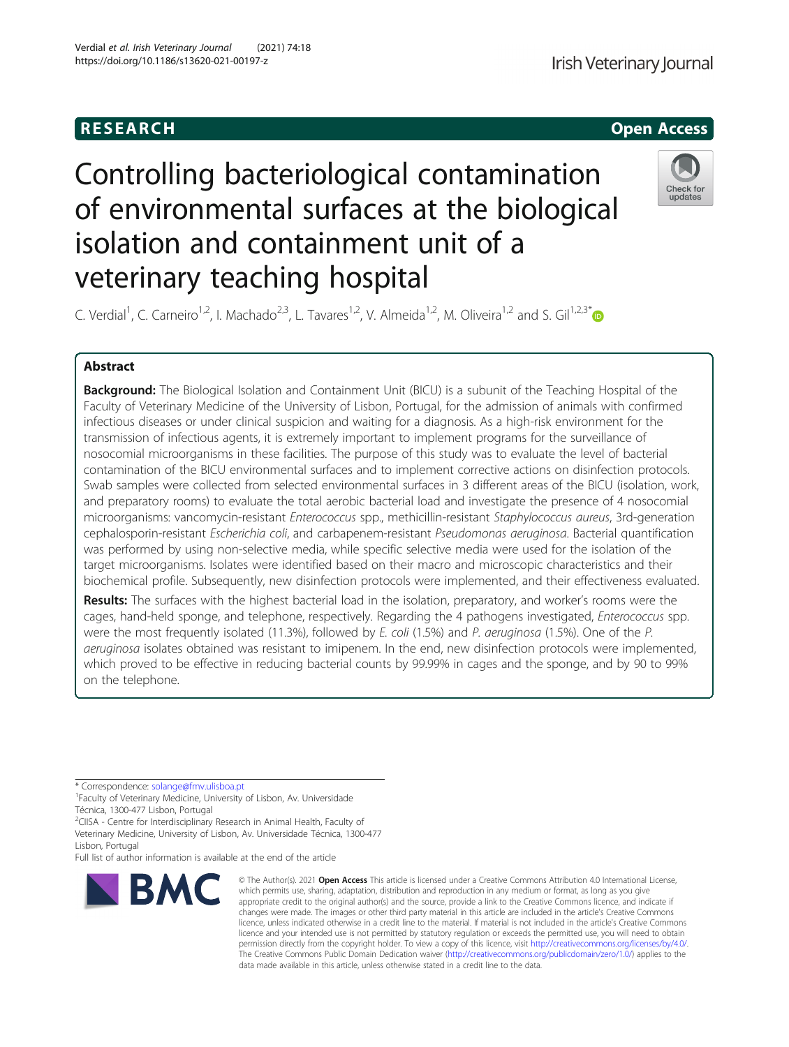

# Controlling bacteriological contamination of environmental surfaces at the biological isolation and containment unit of a veterinary teaching hospital



C. Verdial<sup>1</sup>, C. Carneiro<sup>1,2</sup>, I. Machado<sup>2,3</sup>, L. Tavares<sup>1,2</sup>, V. Almeida<sup>1,2</sup>, M. Oliveira<sup>1,2</sup> and S. Gil<sup>1,2,3[\\*](http://orcid.org/0000-0001-9565-6261)</sup>

# Abstract

Background: The Biological Isolation and Containment Unit (BICU) is a subunit of the Teaching Hospital of the Faculty of Veterinary Medicine of the University of Lisbon, Portugal, for the admission of animals with confirmed infectious diseases or under clinical suspicion and waiting for a diagnosis. As a high-risk environment for the transmission of infectious agents, it is extremely important to implement programs for the surveillance of nosocomial microorganisms in these facilities. The purpose of this study was to evaluate the level of bacterial contamination of the BICU environmental surfaces and to implement corrective actions on disinfection protocols. Swab samples were collected from selected environmental surfaces in 3 different areas of the BICU (isolation, work, and preparatory rooms) to evaluate the total aerobic bacterial load and investigate the presence of 4 nosocomial microorganisms: vancomycin-resistant Enterococcus spp., methicillin-resistant Staphylococcus aureus, 3rd-generation cephalosporin-resistant Escherichia coli, and carbapenem-resistant Pseudomonas aeruginosa. Bacterial quantification was performed by using non-selective media, while specific selective media were used for the isolation of the target microorganisms. Isolates were identified based on their macro and microscopic characteristics and their biochemical profile. Subsequently, new disinfection protocols were implemented, and their effectiveness evaluated.

Results: The surfaces with the highest bacterial load in the isolation, preparatory, and worker's rooms were the cages, hand-held sponge, and telephone, respectively. Regarding the 4 pathogens investigated, Enterococcus spp. were the most frequently isolated (11.3%), followed by E. coli (1.5%) and P. aeruginosa (1.5%). One of the P. aeruginosa isolates obtained was resistant to imipenem. In the end, new disinfection protocols were implemented, which proved to be effective in reducing bacterial counts by 99.99% in cages and the sponge, and by 90 to 99% on the telephone.

\* Correspondence: [solange@fmv.ulisboa.pt](mailto:solange@fmv.ulisboa.pt) <sup>1</sup>

<sup>1</sup> Faculty of Veterinary Medicine, University of Lisbon, Av. Universidade Técnica, 1300-477 Lisbon, Portugal

<sup>2</sup>CIISA - Centre for Interdisciplinary Research in Animal Health, Faculty of Veterinary Medicine, University of Lisbon, Av. Universidade Técnica, 1300-477 Lisbon, Portugal

Full list of author information is available at the end of the article



© The Author(s), 2021 **Open Access** This article is licensed under a Creative Commons Attribution 4.0 International License, which permits use, sharing, adaptation, distribution and reproduction in any medium or format, as long as you give appropriate credit to the original author(s) and the source, provide a link to the Creative Commons licence, and indicate if changes were made. The images or other third party material in this article are included in the article's Creative Commons licence, unless indicated otherwise in a credit line to the material. If material is not included in the article's Creative Commons licence and your intended use is not permitted by statutory regulation or exceeds the permitted use, you will need to obtain permission directly from the copyright holder. To view a copy of this licence, visit [http://creativecommons.org/licenses/by/4.0/.](http://creativecommons.org/licenses/by/4.0/) The Creative Commons Public Domain Dedication waiver [\(http://creativecommons.org/publicdomain/zero/1.0/](http://creativecommons.org/publicdomain/zero/1.0/)) applies to the data made available in this article, unless otherwise stated in a credit line to the data.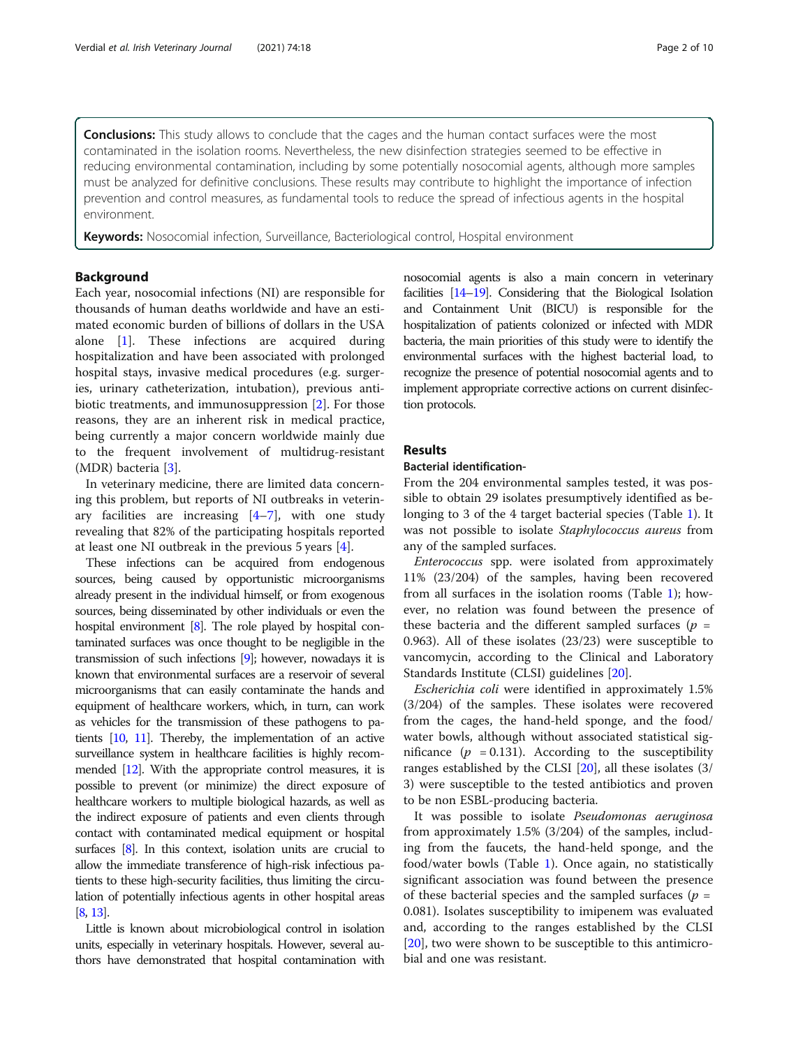**Conclusions:** This study allows to conclude that the cages and the human contact surfaces were the most contaminated in the isolation rooms. Nevertheless, the new disinfection strategies seemed to be effective in reducing environmental contamination, including by some potentially nosocomial agents, although more samples must be analyzed for definitive conclusions. These results may contribute to highlight the importance of infection prevention and control measures, as fundamental tools to reduce the spread of infectious agents in the hospital environment.

Keywords: Nosocomial infection, Surveillance, Bacteriological control, Hospital environment

#### Background

Each year, nosocomial infections (NI) are responsible for thousands of human deaths worldwide and have an estimated economic burden of billions of dollars in the USA alone [[1\]](#page-8-0). These infections are acquired during hospitalization and have been associated with prolonged hospital stays, invasive medical procedures (e.g. surgeries, urinary catheterization, intubation), previous antibiotic treatments, and immunosuppression [[2\]](#page-8-0). For those reasons, they are an inherent risk in medical practice, being currently a major concern worldwide mainly due to the frequent involvement of multidrug-resistant (MDR) bacteria [\[3](#page-8-0)].

In veterinary medicine, there are limited data concerning this problem, but reports of NI outbreaks in veterinary facilities are increasing  $[4-7]$  $[4-7]$  $[4-7]$  $[4-7]$ , with one study revealing that 82% of the participating hospitals reported at least one NI outbreak in the previous 5 years [[4\]](#page-8-0).

These infections can be acquired from endogenous sources, being caused by opportunistic microorganisms already present in the individual himself, or from exogenous sources, being disseminated by other individuals or even the hospital environment [\[8\]](#page-8-0). The role played by hospital contaminated surfaces was once thought to be negligible in the transmission of such infections [\[9\]](#page-8-0); however, nowadays it is known that environmental surfaces are a reservoir of several microorganisms that can easily contaminate the hands and equipment of healthcare workers, which, in turn, can work as vehicles for the transmission of these pathogens to patients [\[10,](#page-8-0) [11\]](#page-8-0). Thereby, the implementation of an active surveillance system in healthcare facilities is highly recommended [\[12](#page-8-0)]. With the appropriate control measures, it is possible to prevent (or minimize) the direct exposure of healthcare workers to multiple biological hazards, as well as the indirect exposure of patients and even clients through contact with contaminated medical equipment or hospital surfaces [[8](#page-8-0)]. In this context, isolation units are crucial to allow the immediate transference of high-risk infectious patients to these high-security facilities, thus limiting the circulation of potentially infectious agents in other hospital areas [[8](#page-8-0), [13\]](#page-8-0).

Little is known about microbiological control in isolation units, especially in veterinary hospitals. However, several authors have demonstrated that hospital contamination with nosocomial agents is also a main concern in veterinary facilities [[14](#page-8-0)–[19](#page-8-0)]. Considering that the Biological Isolation and Containment Unit (BICU) is responsible for the hospitalization of patients colonized or infected with MDR bacteria, the main priorities of this study were to identify the environmental surfaces with the highest bacterial load, to recognize the presence of potential nosocomial agents and to implement appropriate corrective actions on current disinfection protocols.

# Results

#### Bacterial identification-

From the 204 environmental samples tested, it was possible to obtain 29 isolates presumptively identified as belonging to 3 of the 4 target bacterial species (Table [1\)](#page-2-0). It was not possible to isolate Staphylococcus aureus from any of the sampled surfaces.

Enterococcus spp. were isolated from approximately 11% (23/204) of the samples, having been recovered from all surfaces in the isolation rooms (Table [1\)](#page-2-0); however, no relation was found between the presence of these bacteria and the different sampled surfaces ( $p =$ 0.963). All of these isolates (23/23) were susceptible to vancomycin, according to the Clinical and Laboratory Standards Institute (CLSI) guidelines [[20\]](#page-8-0).

Escherichia coli were identified in approximately 1.5% (3/204) of the samples. These isolates were recovered from the cages, the hand-held sponge, and the food/ water bowls, although without associated statistical significance ( $p = 0.131$ ). According to the susceptibility ranges established by the CLSI [\[20](#page-8-0)], all these isolates (3/ 3) were susceptible to the tested antibiotics and proven to be non ESBL-producing bacteria.

It was possible to isolate Pseudomonas aeruginosa from approximately 1.5% (3/204) of the samples, including from the faucets, the hand-held sponge, and the food/water bowls (Table [1\)](#page-2-0). Once again, no statistically significant association was found between the presence of these bacterial species and the sampled surfaces ( $p =$ 0.081). Isolates susceptibility to imipenem was evaluated and, according to the ranges established by the CLSI [[20\]](#page-8-0), two were shown to be susceptible to this antimicrobial and one was resistant.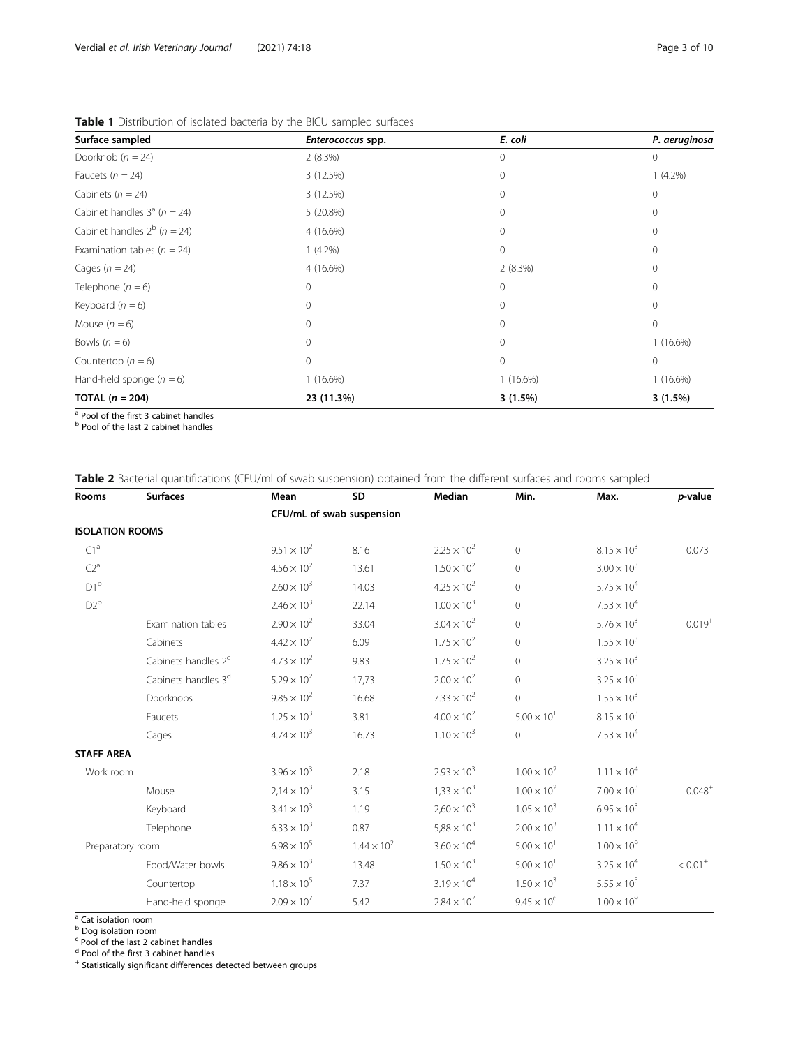| Surface sampled                    | Enterococcus spp. | E. coli      | P. aeruginosa |  |
|------------------------------------|-------------------|--------------|---------------|--|
| Doorknob ( $n = 24$ )              | 2(8.3%)           | 0            | $\mathbf{0}$  |  |
| Faucets ( $n = 24$ )               | 3 (12.5%)         | $\Omega$     | $1(4.2\%)$    |  |
| Cabinets ( $n = 24$ )              | 3 (12.5%)         | 0            | $\mathbf{0}$  |  |
| Cabinet handles $3^a$ (n = 24)     | 5(20.8%)          | $\Omega$     | $\mathbf{0}$  |  |
| Cabinet handles $2^b$ ( $n = 24$ ) | 4 (16.6%)         | 0            | $\mathbf{0}$  |  |
| Examination tables ( $n = 24$ )    | $1(4.2\%)$        | $\mathbf{0}$ | $\mathbf{0}$  |  |
| Cages $(n = 24)$                   | 4 (16.6%)         | 2(8.3%)      | $\Omega$      |  |
| Telephone $(n = 6)$                | $\circ$           | $\mathbf{0}$ | $\mathbf{0}$  |  |
| Keyboard $(n = 6)$                 | $\Omega$          | $\Omega$     | $\mathbf{0}$  |  |
| Mouse $(n = 6)$                    | $\Omega$          | 0            | $\mathbf{0}$  |  |
| Bowls $(n = 6)$                    | $\Omega$          | $\Omega$     | $1(16.6\%)$   |  |
| Countertop ( $n = 6$ )             | $\mathbf{0}$      | 0            | $\mathbf{0}$  |  |
| Hand-held sponge $(n = 6)$         | $1(16.6\%)$       | $1(16.6\%)$  | $1(16.6\%)$   |  |
| TOTAL $(n = 204)$                  | 23 (11.3%)        | $3(1.5\%)$   | 3(1.5%)       |  |

<span id="page-2-0"></span>Table 1 Distribution of isolated bacteria by the BICU sampled surfaces

<sup>a</sup> Pool of the first 3 cabinet handles

**b** Pool of the last 2 cabinet handles

# Table 2 Bacterial quantifications (CFU/ml of swab suspension) obtained from the different surfaces and rooms sampled

| Rooms                  | <b>Surfaces</b>                 | Mean                      | SD                   | Median               | Min.                 | Max.                 | p-value     |  |
|------------------------|---------------------------------|---------------------------|----------------------|----------------------|----------------------|----------------------|-------------|--|
|                        |                                 | CFU/mL of swab suspension |                      |                      |                      |                      |             |  |
| <b>ISOLATION ROOMS</b> |                                 |                           |                      |                      |                      |                      |             |  |
| C1 <sup>a</sup>        |                                 | $9.51 \times 10^{2}$      | 8.16                 | $2.25 \times 10^{2}$ | $\overline{0}$       | $8.15 \times 10^{3}$ | 0.073       |  |
| $C2^a$                 |                                 | $4.56 \times 10^{2}$      | 13.61                | $1.50 \times 10^{2}$ | $\mathbf 0$          | $3.00 \times 10^{3}$ |             |  |
| $D1^b$                 |                                 | $2.60 \times 10^{3}$      | 14.03                | $4.25 \times 10^{2}$ | $\overline{0}$       | $5.75 \times 10^{4}$ |             |  |
| $D2^b$                 |                                 | $2.46 \times 10^{3}$      | 22.14                | $1.00 \times 10^{3}$ | $\mathbf 0$          | $7.53 \times 10^{4}$ |             |  |
|                        | Examination tables              | $2.90 \times 10^{2}$      | 33.04                | $3.04 \times 10^{2}$ | $\mathbf 0$          | $5.76 \times 10^{3}$ | $0.019^{+}$ |  |
|                        | Cabinets                        | $4.42 \times 10^{2}$      | 6.09                 | $1.75 \times 10^{2}$ | $\Omega$             | $1.55 \times 10^{3}$ |             |  |
|                        | Cabinets handles 2 <sup>c</sup> | $4.73 \times 10^{2}$      | 9.83                 | $1.75 \times 10^{2}$ | $\mathbf 0$          | $3.25 \times 10^{3}$ |             |  |
|                        | Cabinets handles 3 <sup>d</sup> | $5.29 \times 10^{2}$      | 17,73                | $2.00 \times 10^{2}$ | $\mathbf 0$          | $3.25 \times 10^{3}$ |             |  |
|                        | Doorknobs                       | $9.85 \times 10^{2}$      | 16.68                | $7.33 \times 10^{2}$ | $\overline{0}$       | $1.55 \times 10^{3}$ |             |  |
|                        | Faucets                         | $1.25 \times 10^{3}$      | 3.81                 | $4.00 \times 10^{2}$ | $5.00 \times 10^{1}$ | $8.15 \times 10^{3}$ |             |  |
|                        | Cages                           | $4.74 \times 10^{3}$      | 16.73                | $1.10 \times 10^{3}$ | $\overline{0}$       | $7.53 \times 10^{4}$ |             |  |
| <b>STAFF AREA</b>      |                                 |                           |                      |                      |                      |                      |             |  |
| Work room              |                                 | $3.96 \times 10^{3}$      | 2.18                 | $2.93 \times 10^{3}$ | $1.00 \times 10^{2}$ | $1.11 \times 10^{4}$ |             |  |
|                        | Mouse                           | $2,14 \times 10^{3}$      | 3.15                 | $1,33 \times 10^{3}$ | $1.00 \times 10^{2}$ | $7.00 \times 10^{3}$ | $0.048^{+}$ |  |
|                        | Keyboard                        | $3.41 \times 10^{3}$      | 1.19                 | $2,60 \times 10^{3}$ | $1.05 \times 10^{3}$ | $6.95 \times 10^{3}$ |             |  |
|                        | Telephone                       | $6.33 \times 10^{3}$      | 0.87                 | $5,88 \times 10^{3}$ | $2.00 \times 10^{3}$ | $1.11 \times 10^{4}$ |             |  |
| Preparatory room       | $6.98 \times 10^{5}$            | $1.44 \times 10^{2}$      | $3.60 \times 10^{4}$ | $5.00 \times 10^{1}$ | $1.00 \times 10^{9}$ |                      |             |  |
|                        | Food/Water bowls                | $9.86 \times 10^{3}$      | 13.48                | $1.50 \times 10^{3}$ | $5.00 \times 10^{1}$ | $3.25 \times 10^{4}$ | $< 0.01 +$  |  |
|                        | Countertop                      | $1.18 \times 10^{5}$      | 7.37                 | $3.19 \times 10^{4}$ | $1.50 \times 10^{3}$ | $5.55 \times 10^{5}$ |             |  |
|                        | Hand-held sponge                | $2.09 \times 10^{7}$      | 5.42                 | $2.84 \times 10^{7}$ | $9.45 \times 10^{6}$ | $1.00 \times 10^{9}$ |             |  |

<sup>a</sup> Cat isolation room

**b** Dog isolation room

<sup>c</sup> Pool of the last 2 cabinet handles

<sup>d</sup> Pool of the first 3 cabinet handles

<sup>+</sup> Statistically significant differences detected between groups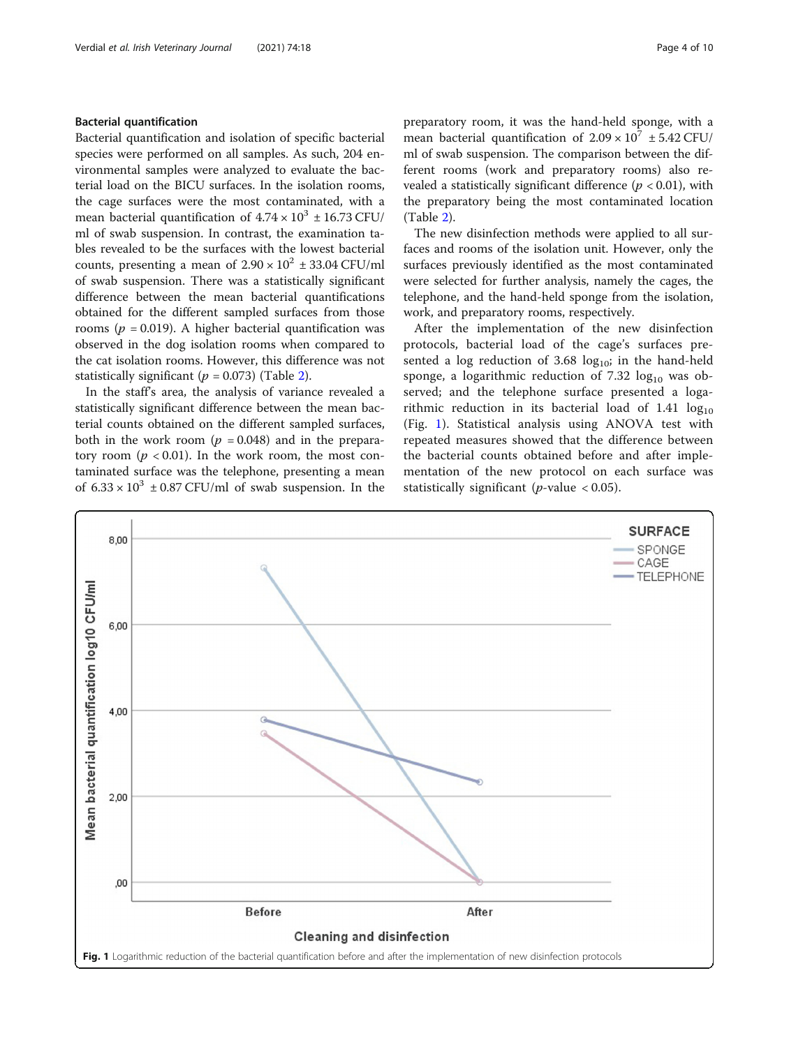### Bacterial quantification

Bacterial quantification and isolation of specific bacterial species were performed on all samples. As such, 204 environmental samples were analyzed to evaluate the bacterial load on the BICU surfaces. In the isolation rooms, the cage surfaces were the most contaminated, with a mean bacterial quantification of  $4.74 \times 10^3 \pm 16.73$  CFU/ ml of swab suspension. In contrast, the examination tables revealed to be the surfaces with the lowest bacterial counts, presenting a mean of  $2.90 \times 10^2 \pm 33.04$  CFU/ml of swab suspension. There was a statistically significant difference between the mean bacterial quantifications obtained for the different sampled surfaces from those rooms ( $p = 0.019$ ). A higher bacterial quantification was observed in the dog isolation rooms when compared to the cat isolation rooms. However, this difference was not statistically significant ( $p = 0.073$ ) (Table [2](#page-2-0)).

In the staff's area, the analysis of variance revealed a statistically significant difference between the mean bacterial counts obtained on the different sampled surfaces, both in the work room ( $p = 0.048$ ) and in the preparatory room ( $p < 0.01$ ). In the work room, the most contaminated surface was the telephone, presenting a mean of  $6.33 \times 10^3 \pm 0.87$  CFU/ml of swab suspension. In the preparatory room, it was the hand-held sponge, with a mean bacterial quantification of  $2.09 \times 10^7 \pm 5.42$  CFU/ ml of swab suspension. The comparison between the different rooms (work and preparatory rooms) also revealed a statistically significant difference ( $p < 0.01$ ), with the preparatory being the most contaminated location (Table [2\)](#page-2-0).

The new disinfection methods were applied to all surfaces and rooms of the isolation unit. However, only the surfaces previously identified as the most contaminated were selected for further analysis, namely the cages, the telephone, and the hand-held sponge from the isolation, work, and preparatory rooms, respectively.

After the implementation of the new disinfection protocols, bacterial load of the cage's surfaces presented a log reduction of  $3.68 \log_{10}$ ; in the hand-held sponge, a logarithmic reduction of 7.32  $log_{10}$  was observed; and the telephone surface presented a logarithmic reduction in its bacterial load of  $1.41 \log_{10}$ (Fig. 1). Statistical analysis using ANOVA test with repeated measures showed that the difference between the bacterial counts obtained before and after implementation of the new protocol on each surface was statistically significant (*p*-value  $< 0.05$ ).

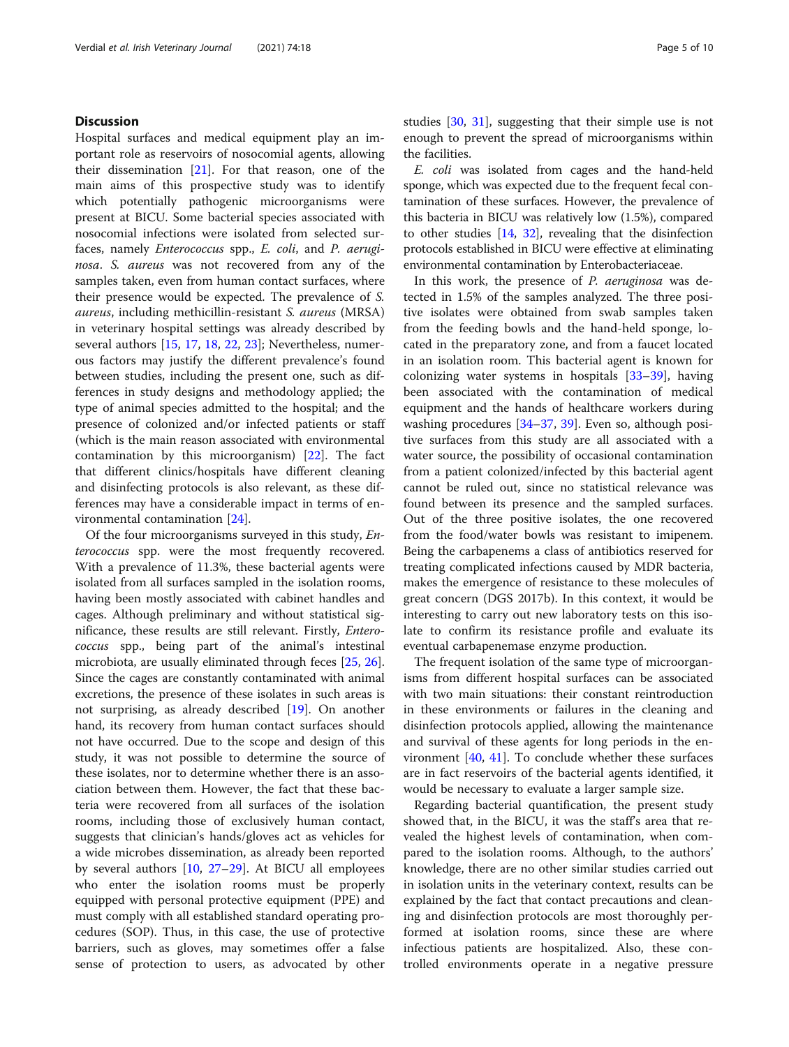# **Discussion**

Hospital surfaces and medical equipment play an important role as reservoirs of nosocomial agents, allowing their dissemination  $[21]$  $[21]$ . For that reason, one of the main aims of this prospective study was to identify which potentially pathogenic microorganisms were present at BICU. Some bacterial species associated with nosocomial infections were isolated from selected surfaces, namely Enterococcus spp., E. coli, and P. aeruginosa. S. aureus was not recovered from any of the samples taken, even from human contact surfaces, where their presence would be expected. The prevalence of S. aureus, including methicillin-resistant S. aureus (MRSA) in veterinary hospital settings was already described by several authors [\[15](#page-8-0), [17](#page-8-0), [18](#page-8-0), [22](#page-8-0), [23\]](#page-8-0); Nevertheless, numerous factors may justify the different prevalence's found between studies, including the present one, such as differences in study designs and methodology applied; the type of animal species admitted to the hospital; and the presence of colonized and/or infected patients or staff (which is the main reason associated with environmental contamination by this microorganism) [\[22](#page-8-0)]. The fact that different clinics/hospitals have different cleaning and disinfecting protocols is also relevant, as these differences may have a considerable impact in terms of environmental contamination [\[24](#page-8-0)].

Of the four microorganisms surveyed in this study, Enterococcus spp. were the most frequently recovered. With a prevalence of 11.3%, these bacterial agents were isolated from all surfaces sampled in the isolation rooms, having been mostly associated with cabinet handles and cages. Although preliminary and without statistical significance, these results are still relevant. Firstly, Enterococcus spp., being part of the animal's intestinal microbiota, are usually eliminated through feces [\[25](#page-8-0), [26](#page-9-0)]. Since the cages are constantly contaminated with animal excretions, the presence of these isolates in such areas is not surprising, as already described [[19\]](#page-8-0). On another hand, its recovery from human contact surfaces should not have occurred. Due to the scope and design of this study, it was not possible to determine the source of these isolates, nor to determine whether there is an association between them. However, the fact that these bacteria were recovered from all surfaces of the isolation rooms, including those of exclusively human contact, suggests that clinician's hands/gloves act as vehicles for a wide microbes dissemination, as already been reported by several authors [[10,](#page-8-0) [27](#page-9-0)–[29\]](#page-9-0). At BICU all employees who enter the isolation rooms must be properly equipped with personal protective equipment (PPE) and must comply with all established standard operating procedures (SOP). Thus, in this case, the use of protective barriers, such as gloves, may sometimes offer a false sense of protection to users, as advocated by other studies [\[30](#page-9-0), [31](#page-9-0)], suggesting that their simple use is not enough to prevent the spread of microorganisms within the facilities.

E. coli was isolated from cages and the hand-held sponge, which was expected due to the frequent fecal contamination of these surfaces. However, the prevalence of this bacteria in BICU was relatively low (1.5%), compared to other studies [[14](#page-8-0), [32](#page-9-0)], revealing that the disinfection protocols established in BICU were effective at eliminating environmental contamination by Enterobacteriaceae.

In this work, the presence of P. aeruginosa was detected in 1.5% of the samples analyzed. The three positive isolates were obtained from swab samples taken from the feeding bowls and the hand-held sponge, located in the preparatory zone, and from a faucet located in an isolation room. This bacterial agent is known for colonizing water systems in hospitals [\[33](#page-9-0)–[39\]](#page-9-0), having been associated with the contamination of medical equipment and the hands of healthcare workers during washing procedures [[34](#page-9-0)–[37](#page-9-0), [39](#page-9-0)]. Even so, although positive surfaces from this study are all associated with a water source, the possibility of occasional contamination from a patient colonized/infected by this bacterial agent cannot be ruled out, since no statistical relevance was found between its presence and the sampled surfaces. Out of the three positive isolates, the one recovered from the food/water bowls was resistant to imipenem. Being the carbapenems a class of antibiotics reserved for treating complicated infections caused by MDR bacteria, makes the emergence of resistance to these molecules of great concern (DGS 2017b). In this context, it would be interesting to carry out new laboratory tests on this isolate to confirm its resistance profile and evaluate its eventual carbapenemase enzyme production.

The frequent isolation of the same type of microorganisms from different hospital surfaces can be associated with two main situations: their constant reintroduction in these environments or failures in the cleaning and disinfection protocols applied, allowing the maintenance and survival of these agents for long periods in the environment [\[40,](#page-9-0) [41\]](#page-9-0). To conclude whether these surfaces are in fact reservoirs of the bacterial agents identified, it would be necessary to evaluate a larger sample size.

Regarding bacterial quantification, the present study showed that, in the BICU, it was the staff's area that revealed the highest levels of contamination, when compared to the isolation rooms. Although, to the authors' knowledge, there are no other similar studies carried out in isolation units in the veterinary context, results can be explained by the fact that contact precautions and cleaning and disinfection protocols are most thoroughly performed at isolation rooms, since these are where infectious patients are hospitalized. Also, these controlled environments operate in a negative pressure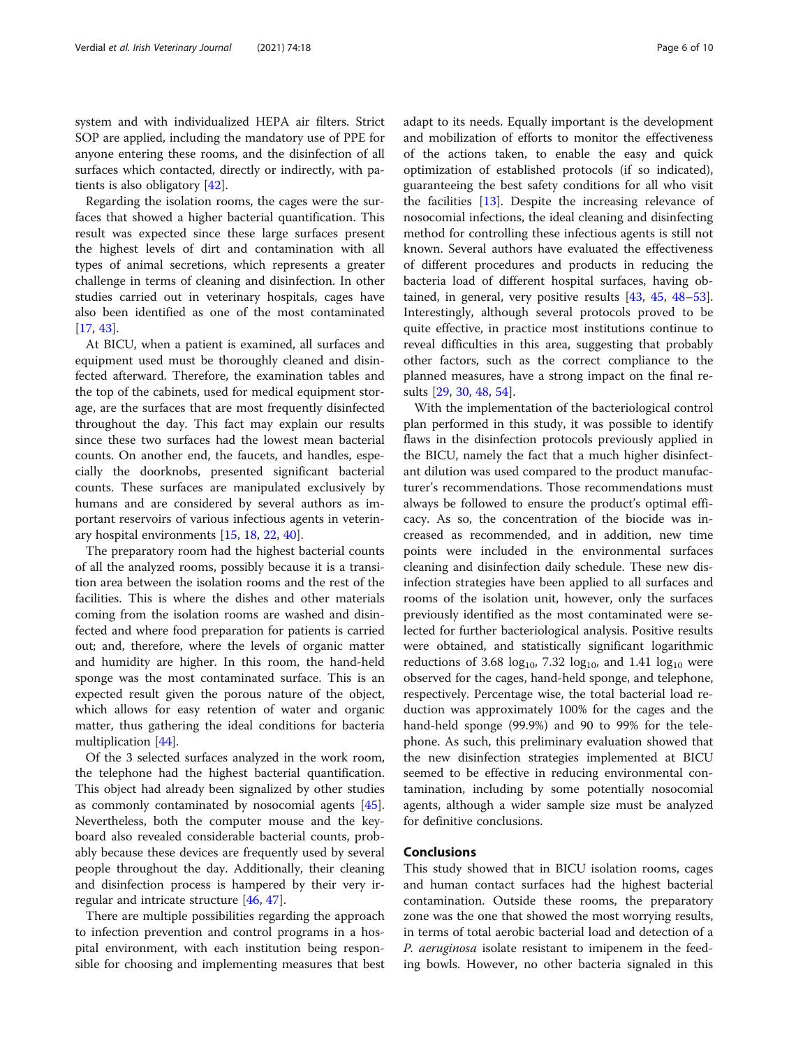system and with individualized HEPA air filters. Strict SOP are applied, including the mandatory use of PPE for anyone entering these rooms, and the disinfection of all surfaces which contacted, directly or indirectly, with patients is also obligatory [\[42\]](#page-9-0).

Regarding the isolation rooms, the cages were the surfaces that showed a higher bacterial quantification. This result was expected since these large surfaces present the highest levels of dirt and contamination with all types of animal secretions, which represents a greater challenge in terms of cleaning and disinfection. In other studies carried out in veterinary hospitals, cages have also been identified as one of the most contaminated [[17,](#page-8-0) [43\]](#page-9-0).

At BICU, when a patient is examined, all surfaces and equipment used must be thoroughly cleaned and disinfected afterward. Therefore, the examination tables and the top of the cabinets, used for medical equipment storage, are the surfaces that are most frequently disinfected throughout the day. This fact may explain our results since these two surfaces had the lowest mean bacterial counts. On another end, the faucets, and handles, especially the doorknobs, presented significant bacterial counts. These surfaces are manipulated exclusively by humans and are considered by several authors as important reservoirs of various infectious agents in veterinary hospital environments [\[15](#page-8-0), [18](#page-8-0), [22,](#page-8-0) [40\]](#page-9-0).

The preparatory room had the highest bacterial counts of all the analyzed rooms, possibly because it is a transition area between the isolation rooms and the rest of the facilities. This is where the dishes and other materials coming from the isolation rooms are washed and disinfected and where food preparation for patients is carried out; and, therefore, where the levels of organic matter and humidity are higher. In this room, the hand-held sponge was the most contaminated surface. This is an expected result given the porous nature of the object, which allows for easy retention of water and organic matter, thus gathering the ideal conditions for bacteria multiplication [[44\]](#page-9-0).

Of the 3 selected surfaces analyzed in the work room, the telephone had the highest bacterial quantification. This object had already been signalized by other studies as commonly contaminated by nosocomial agents [\[45](#page-9-0)]. Nevertheless, both the computer mouse and the keyboard also revealed considerable bacterial counts, probably because these devices are frequently used by several people throughout the day. Additionally, their cleaning and disinfection process is hampered by their very irregular and intricate structure [\[46,](#page-9-0) [47\]](#page-9-0).

There are multiple possibilities regarding the approach to infection prevention and control programs in a hospital environment, with each institution being responsible for choosing and implementing measures that best adapt to its needs. Equally important is the development and mobilization of efforts to monitor the effectiveness of the actions taken, to enable the easy and quick optimization of established protocols (if so indicated), guaranteeing the best safety conditions for all who visit the facilities [[13\]](#page-8-0). Despite the increasing relevance of nosocomial infections, the ideal cleaning and disinfecting method for controlling these infectious agents is still not known. Several authors have evaluated the effectiveness of different procedures and products in reducing the bacteria load of different hospital surfaces, having obtained, in general, very positive results [\[43](#page-9-0), [45](#page-9-0), [48](#page-9-0)–[53](#page-9-0)]. Interestingly, although several protocols proved to be quite effective, in practice most institutions continue to reveal difficulties in this area, suggesting that probably other factors, such as the correct compliance to the planned measures, have a strong impact on the final results [\[29](#page-9-0), [30](#page-9-0), [48](#page-9-0), [54\]](#page-9-0).

With the implementation of the bacteriological control plan performed in this study, it was possible to identify flaws in the disinfection protocols previously applied in the BICU, namely the fact that a much higher disinfectant dilution was used compared to the product manufacturer's recommendations. Those recommendations must always be followed to ensure the product's optimal efficacy. As so, the concentration of the biocide was increased as recommended, and in addition, new time points were included in the environmental surfaces cleaning and disinfection daily schedule. These new disinfection strategies have been applied to all surfaces and rooms of the isolation unit, however, only the surfaces previously identified as the most contaminated were selected for further bacteriological analysis. Positive results were obtained, and statistically significant logarithmic reductions of 3.68  $log_{10}$ , 7.32  $log_{10}$ , and 1.41  $log_{10}$  were observed for the cages, hand-held sponge, and telephone, respectively. Percentage wise, the total bacterial load reduction was approximately 100% for the cages and the hand-held sponge (99.9%) and 90 to 99% for the telephone. As such, this preliminary evaluation showed that the new disinfection strategies implemented at BICU seemed to be effective in reducing environmental contamination, including by some potentially nosocomial agents, although a wider sample size must be analyzed for definitive conclusions.

# Conclusions

This study showed that in BICU isolation rooms, cages and human contact surfaces had the highest bacterial contamination. Outside these rooms, the preparatory zone was the one that showed the most worrying results, in terms of total aerobic bacterial load and detection of a P. aeruginosa isolate resistant to imipenem in the feeding bowls. However, no other bacteria signaled in this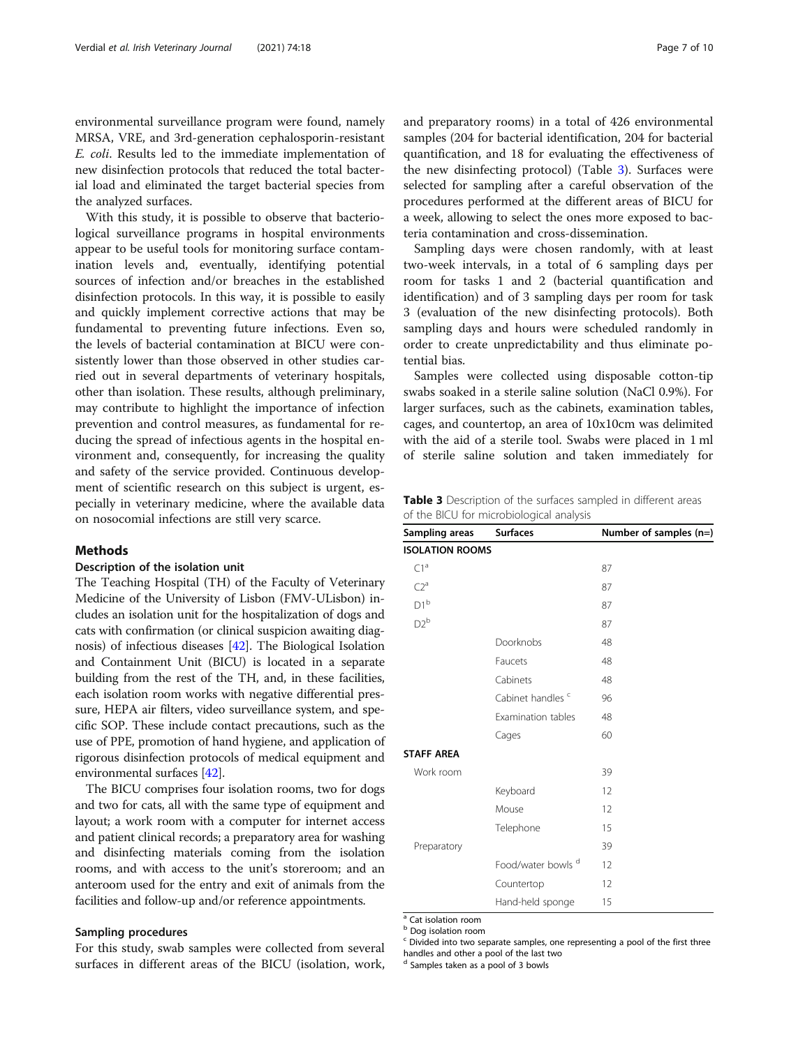environmental surveillance program were found, namely MRSA, VRE, and 3rd-generation cephalosporin-resistant E. coli. Results led to the immediate implementation of new disinfection protocols that reduced the total bacterial load and eliminated the target bacterial species from the analyzed surfaces.

With this study, it is possible to observe that bacteriological surveillance programs in hospital environments appear to be useful tools for monitoring surface contamination levels and, eventually, identifying potential sources of infection and/or breaches in the established disinfection protocols. In this way, it is possible to easily and quickly implement corrective actions that may be fundamental to preventing future infections. Even so, the levels of bacterial contamination at BICU were consistently lower than those observed in other studies carried out in several departments of veterinary hospitals, other than isolation. These results, although preliminary, may contribute to highlight the importance of infection prevention and control measures, as fundamental for reducing the spread of infectious agents in the hospital environment and, consequently, for increasing the quality and safety of the service provided. Continuous development of scientific research on this subject is urgent, especially in veterinary medicine, where the available data on nosocomial infections are still very scarce.

#### Methods

#### Description of the isolation unit

The Teaching Hospital (TH) of the Faculty of Veterinary Medicine of the University of Lisbon (FMV-ULisbon) includes an isolation unit for the hospitalization of dogs and cats with confirmation (or clinical suspicion awaiting diagnosis) of infectious diseases [\[42](#page-9-0)]. The Biological Isolation and Containment Unit (BICU) is located in a separate building from the rest of the TH, and, in these facilities, each isolation room works with negative differential pressure, HEPA air filters, video surveillance system, and specific SOP. These include contact precautions, such as the use of PPE, promotion of hand hygiene, and application of rigorous disinfection protocols of medical equipment and environmental surfaces [\[42\]](#page-9-0).

The BICU comprises four isolation rooms, two for dogs and two for cats, all with the same type of equipment and layout; a work room with a computer for internet access and patient clinical records; a preparatory area for washing and disinfecting materials coming from the isolation rooms, and with access to the unit's storeroom; and an anteroom used for the entry and exit of animals from the facilities and follow-up and/or reference appointments.

#### Sampling procedures

For this study, swab samples were collected from several surfaces in different areas of the BICU (isolation, work, and preparatory rooms) in a total of 426 environmental samples (204 for bacterial identification, 204 for bacterial quantification, and 18 for evaluating the effectiveness of the new disinfecting protocol) (Table 3). Surfaces were selected for sampling after a careful observation of the procedures performed at the different areas of BICU for a week, allowing to select the ones more exposed to bacteria contamination and cross-dissemination.

Sampling days were chosen randomly, with at least two-week intervals, in a total of 6 sampling days per room for tasks 1 and 2 (bacterial quantification and identification) and of 3 sampling days per room for task 3 (evaluation of the new disinfecting protocols). Both sampling days and hours were scheduled randomly in order to create unpredictability and thus eliminate potential bias.

Samples were collected using disposable cotton-tip swabs soaked in a sterile saline solution (NaCl 0.9%). For larger surfaces, such as the cabinets, examination tables, cages, and countertop, an area of 10x10cm was delimited with the aid of a sterile tool. Swabs were placed in 1 ml of sterile saline solution and taken immediately for

Table 3 Description of the surfaces sampled in different areas of the BICU for microbiological analysis

| Sampling areas         | <b>Surfaces</b>               | Number of samples (n=) |
|------------------------|-------------------------------|------------------------|
| <b>ISOLATION ROOMS</b> |                               |                        |
| C1 <sup>a</sup>        |                               | 87                     |
| $C2^a$                 |                               | 87                     |
| $D1^b$                 |                               | 87                     |
| $D2^b$                 |                               | 87                     |
|                        | Doorknobs                     | 48                     |
|                        | Faucets                       | 48                     |
|                        | Cabinets                      | 48                     |
|                        | Cabinet handles <sup>c</sup>  | 96                     |
|                        | Examination tables            | 48                     |
|                        | Cages                         | 60                     |
| <b>STAFF AREA</b>      |                               |                        |
| Work room              |                               | 39                     |
|                        | Keyboard                      | 12                     |
|                        | Mouse                         | 12                     |
|                        | Telephone                     | 15                     |
| Preparatory            |                               | 39                     |
|                        | Food/water bowls <sup>d</sup> | 12                     |
|                        | Countertop                    | 12                     |
|                        | Hand-held sponge              | 15                     |

<sup>a</sup> Cat isolation room

**b** Dog isolation room

<sup>d</sup> Samples taken as a pool of 3 bowls

<sup>c</sup> Divided into two separate samples, one representing a pool of the first three handles and other a pool of the last two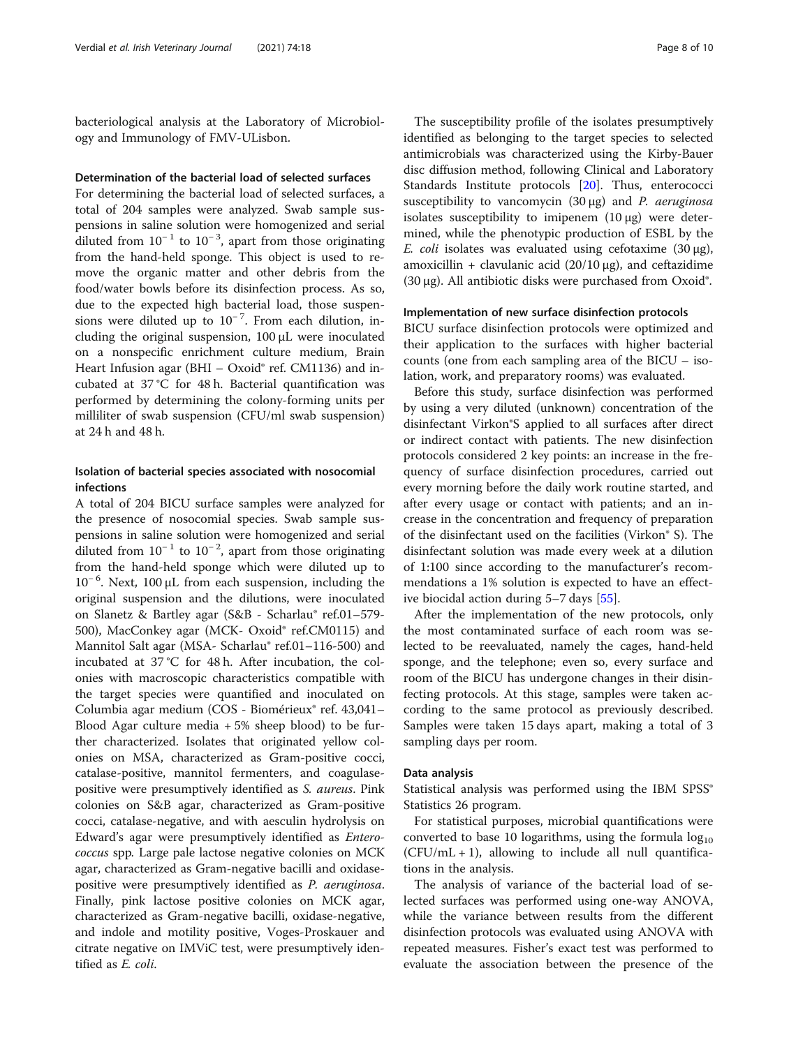bacteriological analysis at the Laboratory of Microbiology and Immunology of FMV-ULisbon.

#### Determination of the bacterial load of selected surfaces

For determining the bacterial load of selected surfaces, a total of 204 samples were analyzed. Swab sample suspensions in saline solution were homogenized and serial diluted from  $10^{-1}$  to  $10^{-3}$ , apart from those originating from the hand-held sponge. This object is used to remove the organic matter and other debris from the food/water bowls before its disinfection process. As so, due to the expected high bacterial load, those suspensions were diluted up to 10<sup>-7</sup>. From each dilution, including the original suspension, 100 μL were inoculated on a nonspecific enrichment culture medium, Brain Heart Infusion agar (BHI – Oxoid® ref. CM1136) and incubated at 37 °C for 48 h. Bacterial quantification was performed by determining the colony-forming units per milliliter of swab suspension (CFU/ml swab suspension) at 24 h and 48 h.

## Isolation of bacterial species associated with nosocomial infections

A total of 204 BICU surface samples were analyzed for the presence of nosocomial species. Swab sample suspensions in saline solution were homogenized and serial diluted from  $10^{-1}$  to  $10^{-2}$ , apart from those originating from the hand-held sponge which were diluted up to 10<sup>-6</sup>. Next, 100 μL from each suspension, including the original suspension and the dilutions, were inoculated on Slanetz & Bartley agar (S&B - Scharlau® ref.01–579- 500), MacConkey agar (MCK- Oxoid® ref.CM0115) and Mannitol Salt agar (MSA- Scharlau® ref.01–116-500) and incubated at 37 °C for 48 h. After incubation, the colonies with macroscopic characteristics compatible with the target species were quantified and inoculated on Columbia agar medium (COS - Biomérieux® ref. 43,041– Blood Agar culture media  $+5\%$  sheep blood) to be further characterized. Isolates that originated yellow colonies on MSA, characterized as Gram-positive cocci, catalase-positive, mannitol fermenters, and coagulasepositive were presumptively identified as S. aureus. Pink colonies on S&B agar, characterized as Gram-positive cocci, catalase-negative, and with aesculin hydrolysis on Edward's agar were presumptively identified as Enterococcus spp. Large pale lactose negative colonies on MCK agar, characterized as Gram-negative bacilli and oxidasepositive were presumptively identified as P. aeruginosa. Finally, pink lactose positive colonies on MCK agar, characterized as Gram-negative bacilli, oxidase-negative, and indole and motility positive, Voges-Proskauer and citrate negative on IMViC test, were presumptively identified as E. coli.

The susceptibility profile of the isolates presumptively identified as belonging to the target species to selected antimicrobials was characterized using the Kirby-Bauer disc diffusion method, following Clinical and Laboratory Standards Institute protocols [\[20](#page-8-0)]. Thus, enterococci susceptibility to vancomycin  $(30 \mu g)$  and P. aeruginosa isolates susceptibility to imipenem  $(10 \mu g)$  were determined, while the phenotypic production of ESBL by the E. coli isolates was evaluated using cefotaxime  $(30 \mu g)$ , amoxicillin + clavulanic acid  $(20/10 \,\mu$ g), and ceftazidime (30 μg). All antibiotic disks were purchased from Oxoid®.

#### Implementation of new surface disinfection protocols

BICU surface disinfection protocols were optimized and their application to the surfaces with higher bacterial counts (one from each sampling area of the BICU – isolation, work, and preparatory rooms) was evaluated.

Before this study, surface disinfection was performed by using a very diluted (unknown) concentration of the disinfectant Virkon®S applied to all surfaces after direct or indirect contact with patients. The new disinfection protocols considered 2 key points: an increase in the frequency of surface disinfection procedures, carried out every morning before the daily work routine started, and after every usage or contact with patients; and an increase in the concentration and frequency of preparation of the disinfectant used on the facilities (Virkon® S). The disinfectant solution was made every week at a dilution of 1:100 since according to the manufacturer's recommendations a 1% solution is expected to have an effective biocidal action during 5–7 days [\[55](#page-9-0)].

After the implementation of the new protocols, only the most contaminated surface of each room was selected to be reevaluated, namely the cages, hand-held sponge, and the telephone; even so, every surface and room of the BICU has undergone changes in their disinfecting protocols. At this stage, samples were taken according to the same protocol as previously described. Samples were taken 15 days apart, making a total of 3 sampling days per room.

#### Data analysis

Statistical analysis was performed using the IBM SPSS® Statistics 26 program.

For statistical purposes, microbial quantifications were converted to base 10 logarithms, using the formula  $log_{10}$  $(CFU/mL + 1)$ , allowing to include all null quantifications in the analysis.

The analysis of variance of the bacterial load of selected surfaces was performed using one-way ANOVA, while the variance between results from the different disinfection protocols was evaluated using ANOVA with repeated measures. Fisher's exact test was performed to evaluate the association between the presence of the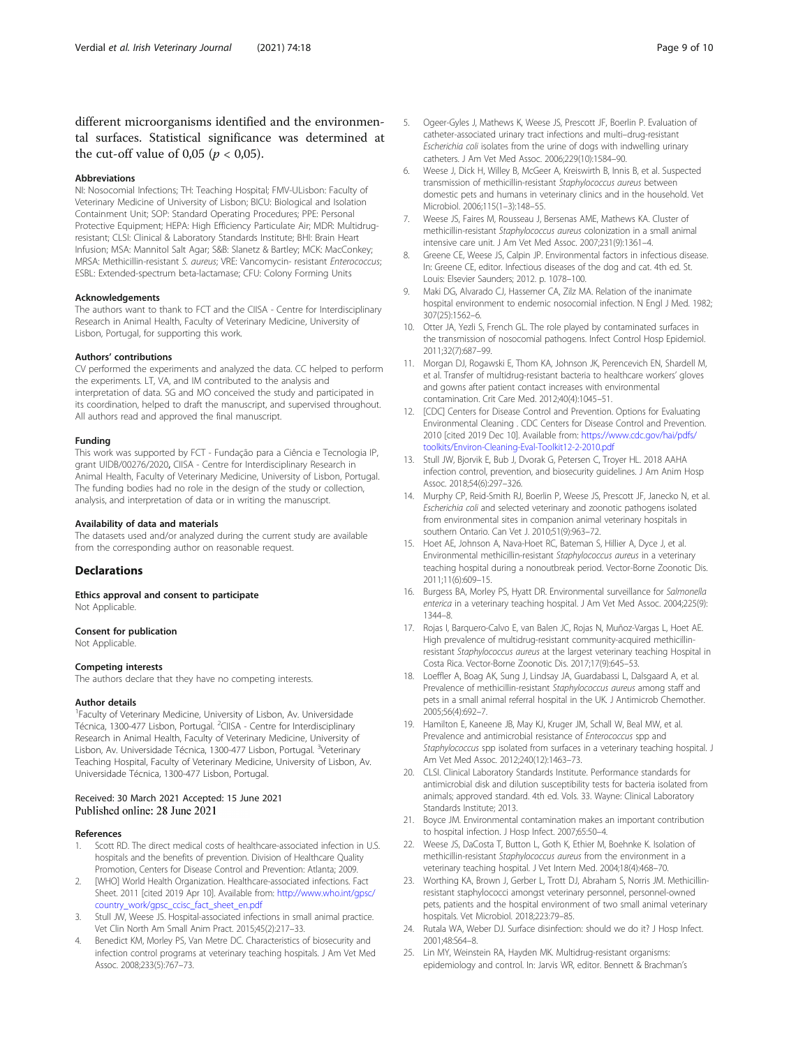<span id="page-8-0"></span>different microorganisms identified and the environmental surfaces. Statistical significance was determined at the cut-off value of 0,05 ( $p < 0.05$ ).

#### Abbreviations

NI: Nosocomial Infections; TH: Teaching Hospital; FMV-ULisbon: Faculty of Veterinary Medicine of University of Lisbon; BICU: Biological and Isolation Containment Unit; SOP: Standard Operating Procedures; PPE: Personal Protective Equipment; HEPA: High Efficiency Particulate Air; MDR: Multidrugresistant; CLSI: Clinical & Laboratory Standards Institute; BHI: Brain Heart Infusion; MSA: Mannitol Salt Agar; S&B: Slanetz & Bartley; MCK: MacConkey; MRSA: Methicillin-resistant S. aureus; VRE: Vancomycin- resistant Enterococcus; ESBL: Extended-spectrum beta-lactamase; CFU: Colony Forming Units

#### Acknowledgements

The authors want to thank to FCT and the CIISA - Centre for Interdisciplinary Research in Animal Health, Faculty of Veterinary Medicine, University of Lisbon, Portugal, for supporting this work.

#### Authors' contributions

CV performed the experiments and analyzed the data. CC helped to perform the experiments. LT, VA, and IM contributed to the analysis and interpretation of data. SG and MO conceived the study and participated in its coordination, helped to draft the manuscript, and supervised throughout. All authors read and approved the final manuscript.

#### Funding

This work was supported by FCT - Fundação para a Ciência e Tecnologia IP, grant UIDB/00276/2020, CIISA - Centre for Interdisciplinary Research in Animal Health, Faculty of Veterinary Medicine, University of Lisbon, Portugal. The funding bodies had no role in the design of the study or collection, analysis, and interpretation of data or in writing the manuscript.

#### Availability of data and materials

The datasets used and/or analyzed during the current study are available from the corresponding author on reasonable request.

#### **Declarations**

Ethics approval and consent to participate Not Applicable.

#### Consent for publication

Not Applicable.

#### Competing interests

The authors declare that they have no competing interests.

#### Author details

<sup>1</sup> Faculty of Veterinary Medicine, University of Lisbon, Av. Universidade Técnica, 1300-477 Lisbon, Portugal. <sup>2</sup>CIISA - Centre for Interdisciplinary Research in Animal Health, Faculty of Veterinary Medicine, University of Lisbon, Av. Universidade Técnica, 1300-477 Lisbon, Portugal. <sup>3</sup>Veterinary Teaching Hospital, Faculty of Veterinary Medicine, University of Lisbon, Av. Universidade Técnica, 1300-477 Lisbon, Portugal.

#### Received: 30 March 2021 Accepted: 15 June 2021 Published online: 28 June 2021

#### References

- 1. Scott RD. The direct medical costs of healthcare-associated infection in U.S. hospitals and the benefits of prevention. Division of Healthcare Quality Promotion, Centers for Disease Control and Prevention: Atlanta; 2009.
- 2. [WHO] World Health Organization. Healthcare-associated infections. Fact Sheet. 2011 [cited 2019 Apr 10]. Available from: [http://www.who.int/gpsc/](http://www.who.int/gpsc/country_work/gpsc_ccisc_fact_sheet_en.pdf) [country\\_work/gpsc\\_ccisc\\_fact\\_sheet\\_en.pdf](http://www.who.int/gpsc/country_work/gpsc_ccisc_fact_sheet_en.pdf)
- Stull JW, Weese JS. Hospital-associated infections in small animal practice. Vet Clin North Am Small Anim Pract. 2015;45(2):217–33.
- Benedict KM, Morley PS, Van Metre DC. Characteristics of biosecurity and infection control programs at veterinary teaching hospitals. J Am Vet Med Assoc. 2008;233(5):767–73.
- 5. Ogeer-Gyles J, Mathews K, Weese JS, Prescott JF, Boerlin P. Evaluation of catheter-associated urinary tract infections and multi–drug-resistant Escherichia coli isolates from the urine of dogs with indwelling urinary catheters. J Am Vet Med Assoc. 2006;229(10):1584–90.
- 6. Weese J, Dick H, Willey B, McGeer A, Kreiswirth B, Innis B, et al. Suspected transmission of methicillin-resistant Staphylococcus aureus between domestic pets and humans in veterinary clinics and in the household. Vet Microbiol. 2006;115(1–3):148–55.
- 7. Weese JS, Faires M, Rousseau J, Bersenas AME, Mathews KA. Cluster of methicillin-resistant Staphylococcus aureus colonization in a small animal intensive care unit. J Am Vet Med Assoc. 2007;231(9):1361–4.
- 8. Greene CE, Weese JS, Calpin JP. Environmental factors in infectious disease. In: Greene CE, editor. Infectious diseases of the dog and cat. 4th ed. St. Louis: Elsevier Saunders; 2012. p. 1078–100.
- Maki DG, Alvarado CJ, Hassemer CA, Zilz MA. Relation of the inanimate hospital environment to endemic nosocomial infection. N Engl J Med. 1982; 307(25):1562–6.
- 10. Otter JA, Yezli S, French GL. The role played by contaminated surfaces in the transmission of nosocomial pathogens. Infect Control Hosp Epidemiol. 2011;32(7):687–99.
- 11. Morgan DJ, Rogawski E, Thom KA, Johnson JK, Perencevich EN, Shardell M, et al. Transfer of multidrug-resistant bacteria to healthcare workers' gloves and gowns after patient contact increases with environmental contamination. Crit Care Med. 2012;40(4):1045–51.
- 12. [CDC] Centers for Disease Control and Prevention. Options for Evaluating Environmental Cleaning . CDC Centers for Disease Control and Prevention. 2010 [cited 2019 Dec 10]. Available from: [https://www.cdc.gov/hai/pdfs/](https://www.cdc.gov/hai/pdfs/toolkits/Environ-Cleaning-Eval-Toolkit12-2-2010.pdf) [toolkits/Environ-Cleaning-Eval-Toolkit12-2-2010.pdf](https://www.cdc.gov/hai/pdfs/toolkits/Environ-Cleaning-Eval-Toolkit12-2-2010.pdf)
- 13. Stull JW, Bjorvik E, Bub J, Dvorak G, Petersen C, Troyer HL. 2018 AAHA infection control, prevention, and biosecurity guidelines. J Am Anim Hosp Assoc. 2018;54(6):297–326.
- 14. Murphy CP, Reid-Smith RJ, Boerlin P, Weese JS, Prescott JF, Janecko N, et al. Escherichia coli and selected veterinary and zoonotic pathogens isolated from environmental sites in companion animal veterinary hospitals in southern Ontario. Can Vet J. 2010;51(9):963–72.
- 15. Hoet AE, Johnson A, Nava-Hoet RC, Bateman S, Hillier A, Dyce J, et al. Environmental methicillin-resistant Staphylococcus aureus in a veterinary teaching hospital during a nonoutbreak period. Vector-Borne Zoonotic Dis. 2011;11(6):609–15.
- 16. Burgess BA, Morley PS, Hyatt DR. Environmental surveillance for Salmonella enterica in a veterinary teaching hospital. J Am Vet Med Assoc. 2004;225(9): 1344–8.
- 17. Rojas I, Barquero-Calvo E, van Balen JC, Rojas N, Muñoz-Vargas L, Hoet AE. High prevalence of multidrug-resistant community-acquired methicillinresistant Staphylococcus aureus at the largest veterinary teaching Hospital in Costa Rica. Vector-Borne Zoonotic Dis. 2017;17(9):645–53.
- 18. Loeffler A, Boag AK, Sung J, Lindsay JA, Guardabassi L, Dalsgaard A, et al. Prevalence of methicillin-resistant Staphylococcus aureus among staff and pets in a small animal referral hospital in the UK. J Antimicrob Chemother. 2005;56(4):692–7.
- 19. Hamilton E, Kaneene JB, May KJ, Kruger JM, Schall W, Beal MW, et al. Prevalence and antimicrobial resistance of Enterococcus spp and Staphylococcus spp isolated from surfaces in a veterinary teaching hospital. J Am Vet Med Assoc. 2012;240(12):1463–73.
- 20. CLSI. Clinical Laboratory Standards Institute. Performance standards for antimicrobial disk and dilution susceptibility tests for bacteria isolated from animals; approved standard. 4th ed. Vols. 33. Wayne: Clinical Laboratory Standards Institute; 2013.
- 21. Boyce JM. Environmental contamination makes an important contribution to hospital infection. J Hosp Infect. 2007;65:50–4.
- 22. Weese JS, DaCosta T, Button L, Goth K, Ethier M, Boehnke K. Isolation of methicillin-resistant Staphylococcus aureus from the environment in a veterinary teaching hospital. J Vet Intern Med. 2004;18(4):468–70.
- 23. Worthing KA, Brown J, Gerber L, Trott DJ, Abraham S, Norris JM. Methicillinresistant staphylococci amongst veterinary personnel, personnel-owned pets, patients and the hospital environment of two small animal veterinary hospitals. Vet Microbiol. 2018;223:79–85.
- 24. Rutala WA, Weber DJ. Surface disinfection: should we do it? J Hosp Infect. 2001;48:S64–8.
- 25. Lin MY, Weinstein RA, Hayden MK. Multidrug-resistant organisms: epidemiology and control. In: Jarvis WR, editor. Bennett & Brachman's